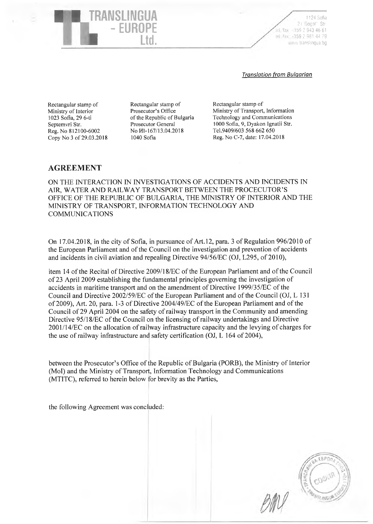iel./fax: +359 2 943 46 61 tel./fax: -359 2 981 44 79 1124 Sofia 21 " Gogol" Str, ww.translingua.bg

#### *Translation from Bulgarian*

Rectangular stamp of Ministry of Interior 1023 Sofia, 29 6-ti Septemvri Str. Reg. No 812100-6002 Copy No 3 of 29.03.2018

*ЯЧ*

YANSI INGI

- EUROPE

Ltd.

Rectangular stamp of Prosecutor's Office of the Republic of Bulgaria Prosecutor General No И1-167/13.04.2018 1040 Sofia

Rectangular stamp of Ministry of Transport, Information Technology and Communications 1000 Sofia, 9, Dyakon Ignatii Str. Tel.9409/603 568 662 650 Reg. No C-7, date: 17.04.2018

# **AGREEMENT**

ON THE INTERACTION IN INVESTIGATIONS OF ACCIDENTS AND INCIDENTS IN AIR, WATER AND RAILWAY TRANSPORT BETWEEN THE PROCECUTOR'S OFFICE OF THE REPUBLIC OF BULGARIA, THE MINISTRY OF INTERIOR AND THE MINISTRY OF TRANSPORT, INFORMATION TECHNOLOGY AND COMMUNICATIONS

On 17.04.2018, in the city of Sofia, in pursuance of Art. 12, para. 3 of Regulation 996/2010 of the European Parliament and of the Council on the investigation and prevention of accidents and incidents in civil aviation and repealing Directive 94/56/EC (OJ, L295, of 2010),

item 14 of the Recital of Directive 2009/18/EC of the European Parliament and of the Council of 23 April 2009 establishing the fundamental principles governing the investigation of accidents in maritime transport and on the amendment of Directive 1999/35/EC ofthe Council and Directive 2002/59/EC of the European Parliament and of the Council (OJ, L 131 of 2009), Art. 20, para. 1-3 of Directive 2004/49/EC of the European Parliament and of the Council of 29 April 2004 on the safety of railway transport in the Community and amending Directive 95/18/EC of the Council on the licensing of railway undertakings and Directive 2001/14/EC on the allocation of railway infrastructure capacity and the levying of charges for the use of railway infrastructure and safety certification (OJ, L 164 of 2004),

between the Prosecutor's Office of the Republic of Bulgaria (PORB), the Ministry of Interior (Mol) and the Ministry of Transport, Information Technology and Communications (MTITC), referred to herein below for brevity as the Parties,

the following Agreement was concluded:

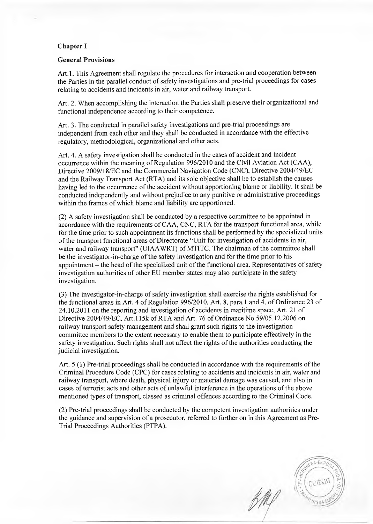### **Chapter I**

#### **General Provisions**

Art.1. This Agreement shall regulate the procedures for interaction and cooperation between the Parties in the parallel conduct of safety investigations and pre-trial proceedings for cases relating to accidents and incidents in air, water and railway transport.

Art. 2. When accomplishing the interaction the Parties shall preserve their organizational and functional independence according to their competence.

Art. 3. The conducted in parallel safety investigations and pre-trial proceedings are independent from each other and they shall be conducted in accordance with the effective regulatory, methodological, organizational and other acts.

Art. 4. A safety investigation shall be conducted in the cases of accident and incident occurrence within the meaning of Regulation 996/2010 and the Civil Aviation Act (CAA), Directive 2009/18/EC and the Commercial Navigation Code (CNC), Directive 2004/49/EC and the Railway Transport Act (RTA) and its sole objective shall be to establish the causes having led to the occurrence of the accident without apportioning blame or liability. It shall be conducted independently and without prejudice to any punitive or administrative proceedings within the frames of which blame and liability are apportioned.

(2) A safety investigation shall be conducted by a respective committee to be appointed in accordance with the requirements of CAA, CNC, RTA for the transport functional area, while for the time prior to such appointment its functions shall be performed by the specialized units of the transport functional areas of Directorate "Unit for investigation of accidents in air, water and railway transport" (UIAAWRT) of MTITC. The chairman of the committee shall be the investigator-in-charge of the safety investigation and for the time prior to his appointment - the head of the specialized unit of the functional area. Representatives of safety investigation authorities of other EU member states may also participate in the safety investigation.

(3) The investigator-in-charge of safety investigation shall exercise the rights established for the functional areas in Art. 4 of Regulation 996/2010, Art. 8, para.l and 4, of Ordinance 23 of 24.10.2011 on the reporting and investigation of accidents in maritime space, Art. 21 of Directive 2004/49/EC, Art.l 15k of RTA and Art. 76 of Ordinance No 59/05.12.2006 on railway transport safety management and shall grant such rights to the investigation committee members to the extent necessary to enable them to participate effectively in the safety investigation. Such rights shall not affect the rights of the authorities conducting the judicial investigation.

Art. 5(1) Pre-trial proceedings shall be conducted in accordance with the requirements of the Criminal Procedure Code (CPC) for cases relating to accidents and incidents in air, water and railway transport, where death, physical injury or material damage was caused, and also in cases of terrorist acts and other acts of unlawful interference in the operations of the above mentioned types of transport, classed as criminal offences according to the Criminal Code.

(2) Pre-trial proceedings shall be conducted by the competent investigation authorities under the guidance and supervision of a prosecutor, referred to further on in this Agreement as Pre-Trial Proceedings Authorities (PTPA).

BA-EBPC софи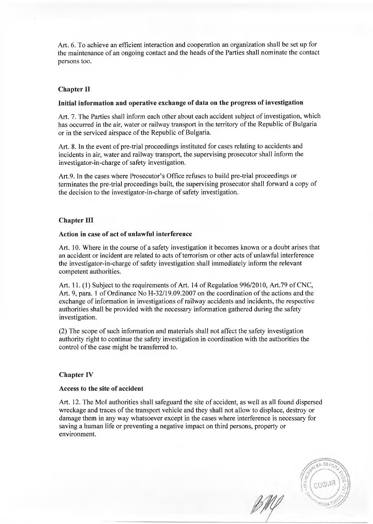Art. 6. To achieve an efficient interaction and cooperation an organization shall be set up for the maintenance of an ongoing contact and the heads of the Parties shall nominate the contact persons too.

## **Chapter II**

#### **Initial information and operative exchange of data on the progress of investigation**

Art. 7. The Parties shall inform each other about each accident subject of investigation, which has occurred in the air, water or railway transport in the territory of the Republic of Bulgaria or in the serviced airspace of the Republic of Bulgaria.

Art. 8. In the event of pre-trial proceedings instituted for cases relating to accidents and incidents in air, water and railway transport, the supervising prosecutor shall inform the investigator-in-charge of safety investigation.

Art.9. In the cases where Prosecutor's Office refuses to build pre-trial proceedings or terminates the pre-trial proceedings built, the supervising prosecutor shall forward a copy of the decision to the investigator-in-charge of safety investigation.

### **Chapter III**

### **Action in case of act of unlawful interference**

Art. 10. Where in the course of a safety investigation it becomes known or a doubt arises that an accident or incident are related to acts of terrorism or other acts of unlawful interference the investigator-in-charge of safety investigation shall immediately inform the relevant competent authorities.

Art. 11.(1) Subject to the requirements of Art. 14 of Regulation 996/2010, Art.79 of CNC, Art. 9, para. 1 of Ordinance No H-32/19.09.2007 on the coordination of the actions and the exchange of information in investigations of railway accidents and incidents, the respective authorities shall be provided with the necessary information gathered during the safety investigation.

(2) The scope of such information and materials shall not affect the safety investigation authority right to continue the safety investigation in coordination with the authorities the control of the case might be transferred to.

#### **Chapter IV**

#### **Access to the site of accident**

Art. 12. The Mol authorities shall safeguard the site of accident, as well as all found dispersed wreckage and traces of the transport vehicle and they shall not allow to displace, destroy or damage them in any way whatsoever except in the cases where interference is necessary for saving a human life or preventing a negative impact on third persons, property or environment.

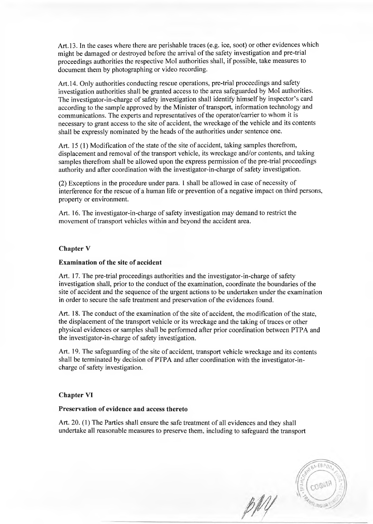Art. 13. In the cases where there are perishable traces (e.g. ice, soot) or other evidences which might be damaged or destroyed before the arrival of the safety investigation and pre-trial proceedings authorities the respective Mol authorities shall, if possible, take measures to document them by photographing or video recording.

Art. 14. Only authorities conducting rescue operations, pre-trial proceedings and safety investigation authorities shall be granted access to the area safeguarded by Mol authorities. The investigator-in-charge of safety investigation shall identify himself by inspector's card according to the sample approved by the Minister of transport, information technology and communications. The experts and representatives of the operator/carrier to whom it is necessary to grant access to the site of accident, the wreckage of the vehicle and its contents shall be expressly nominated by the heads of the authorities under sentence one.

Art. 15 (1) Modification of the state of the site of accident, taking samples therefrom, displacement and removal of the transport vehicle, its wreckage and/or contents, and taking samples therefrom shall be allowed upon the express permission of the pre-trial proceedings authority and after coordination with the investigator-in-charge of safety investigation.

(2) Exceptions in the procedure under para. 1 shall be allowed in case of necessity of interference for the rescue of a human life or prevention of a negative impact on third persons, property or environment.

Art. 16. The investigator-in-charge of safety investigation may demand to restrict the movement of transport vehicles within and beyond the accident area.

### **Chapter V**

### **Examination of the site of accident**

Art. 17. The pre-trial proceedings authorities and the investigator-in-charge of safety investigation shall, prior to the conduct of the examination, coordinate the boundaries of the site of accident and the sequence of the urgent actions to be undertaken under the examination in order to secure the safe treatment and preservation of the evidences found.

Art. 18. The conduct of the examination of the site of accident, the modification of the state, the displacement of the transport vehicle or its wreckage and the taking of traces or other physical evidences or samples shall be performed after prior coordination between PTPA and the investigator-in-charge of safety investigation.

Art. 19. The safeguarding of the site of accident, transport vehicle wreckage and its contents shall be terminated by decision of PTPA and after coordination with the investigator-incharge of safety investigation.

### **Chapter VI**

#### **Preservation of evidence and access thereto**

Art. 20. (1) The Parties shall ensure the safe treatment of all evidences and they shall undertake all reasonable measures to preserve them, including to safeguard the transport

 $A - EBPI$ 

pMY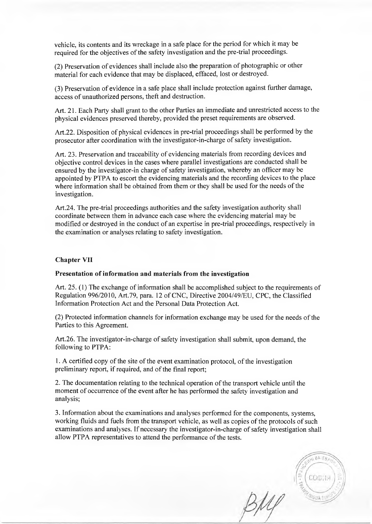vehicle, its contents and its wreckage in a safe place for the period for which it may be required for the objectives of the safety investigation and the pre-trial proceedings.

(2) Preservation of evidences shall include also the preparation of photographic or other material for each evidence that may be displaced, effaced, lost or destroyed.

(3) Preservation of evidence in a safe place shall include protection against further damage, access of unauthorized persons, theft and destruction.

Art. 21. Each Party shall grant to the other Parties an immediate and unrestricted access to the physical evidences preserved thereby, provided the preset requirements are observed.

Art.22. Disposition of physical evidences in pre-trial proceedings shall be performed by the prosecutor after coordination with the investigator-in-charge of safety investigation.

Art. 23. Preservation and traceability of evidencing materials from recording devices and objective control devices in the cases where parallel investigations are conducted shall be ensured by the investigator-in charge of safety investigation, whereby an officer may be appointed by PTPA to escort the evidencing materials and the recording devices to the place where information shall be obtained from them or they shall be used for the needs of the investigation.

Art.24. The pre-trial proceedings authorities and the safety investigation authority shall coordinate between them in advance each case where the evidencing material may be modified or destroyed in the conduct of an expertise in pre-trial proceedings, respectively in the examination or analyses relating to safety investigation.

### **Chapter VII**

#### **Presentation of information and materials from the investigation**

Art. 25. (1) The exchange of information shall be accomplished subject to the requirements of Regulation 996/2010, Art.79, para. 12 of CNC, Directive 2004/49/EU, CPC, the Classified Information Protection Act and the Personal Data Protection Act.

(2) Protected information channels for information exchange may be used for the needs of the Parties to this Agreement.

Art.26. The investigator-in-charge of safety investigation shall submit, upon demand, the following to PTPA:

1. A certified copy of the site of the event examination protocol, of the investigation preliminary report, if required, and of the final report;

2. The documentation relating to the technical operation of the transport vehicle until the moment of occurrence of the event after he has performed the safety investigation and analysis;

3. Information about the examinations and analyses performed for the components, systems, working fluids and fuels from the transport vehicle, as well as copies of the protocols of such examinations and analyses. If necessary the investigator-in-charge of safety investigation shall allow PTPA representatives to attend the performance of the tests.

 $BA$ -EA COCH1

 $BM$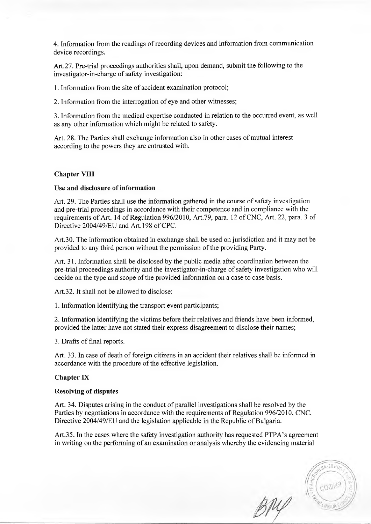4. Information from the readings of recording devices and information from communication device recordings.

Art.27. Pre-trial proceedings authorities shall, upon demand, submit the following to the investigator-in-charge of safety investigation:

1. Information from the site of accident examination protocol;

2. Information from the interrogation of eye and other witnesses;

3. Information from the medical expertise conducted in relation to the occurred event, as well as any other information which might be related to safety.

Art. 28. The Parties shall exchange information also in other cases of mutual interest according to the powers they are entrusted with.

### **Chapter VIII**

### Use and disclosure of information

Art. 29. The Parties shall use the information gathered in the course of safety investigation and pre-trial proceedings in accordance with their competence and in compliance with the requirements of Art. 14 of Regulation 996/2010, Art.79, para. 12 of CNC, Art. 22, para. 3 of Directive 2004/49/EU and Art. 198 of CPC.

Art.30. The information obtained in exchange shall be used on jurisdiction and it may not be provided to any third person without the permission of the providing Party.

Art. 31. Information shall be disclosed by the public media after coordination between the pre-trial proceedings authority and the investigator-in-charge of safety investigation who will decide on the type and scope of the provided information on a case to case basis.

Art.32. It shall not be allowed to disclose:

1. Information identifying the transport event participants;

2. Information identifying the victims before their relatives and friends have been informed, provided the latter have not stated their express disagreement to disclose their names;

3. Drafts of final reports.

Art. 33. In case of death of foreign citizens in an accident their relatives shall be informed in accordance with the procedure of the effective legislation.

#### **Chapter IX**

### **Resolving of disputes**

Art. 34. Disputes arising in the conduct of parallel investigations shall be resolved by the Parties by negotiations in accordance with the requirements of Regulation 996/2010, CNC, Directive 2004/49/EU and the legislation applicable in the Republic of Bulgaria.

Art.35. In the cases where the safety investigation authority has requested PTPA's agreement in writing on the performing of an examination or analysis whereby the evidencing material

AA-EBPC BRY coom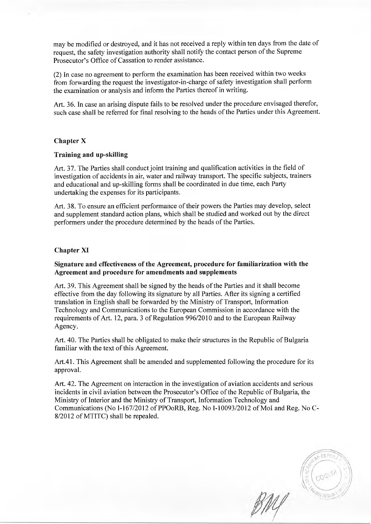may be modified or destroyed, and it has not received a reply within ten days from the date of request, the safety investigation authority shall notify the contact person of the Supreme Prosecutor's Office of Cassation to render assistance.

(2) In case no agreement to perform the examination has been received within two weeks from forwarding the request the investigator-in-charge of safety investigation shall perform the examination or analysis and inform the Parties thereof in writing.

Art. 36. In case an arising dispute fails to be resolved under the procedure envisaged therefor, such case shall be referred for final resolving to the heads of the Parties under this Agreement.

## **Chapter X**

### **Training and up-skilling**

Art. 37. The Parties shall conduct joint training and qualification activities in the field of investigation of accidents in air, water and railway transport. The specific subjects, trainers and educational and up-skilling forms shall be coordinated in due time, each Party undertaking the expenses for its participants.

Art. 38. To ensure an efficient performance of their powers the Parties may develop, select and supplement standard action plans, which shall be studied and worked out by the direct performers under the procedure determined by the heads of the Parties.

### **Chapter XI**

## **Signature and effectiveness of the Agreement, procedure for familiarization with the Agreement and procedure for amendments and supplements**

Art. 39. This Agreement shall be signed by the heads of the Parties and it shall become effective from the day following its signature by all Parties. After its signing a certified translation in English shall be forwarded by the Ministry of Transport, Information Technology and Communications to the European Commission in accordance with the requirements of Art. 12, para. 3 of Regulation 996/2010 and to the European Railway Agency.

Art. 40. The Parties shall be obligated to make their structures in the Republic of Bulgaria familiar with the text of this Agreement.

Art.41. This Agreement shall be amended and supplemented following the procedure for its approval.

Art. 42. The Agreement on interaction in the investigation of aviation accidents and serious incidents in civil aviation between the Prosecutor's Office of the Republic of Bulgaria, the Ministry of Interior and the Ministry of Transport, Information Technology and Communications (No 1-167/2012 of PPOoRB, Reg. No 1-10093/2012 of Mol and Reg. No C-8/2012 of MTITC) shall be repealed.

FSPn